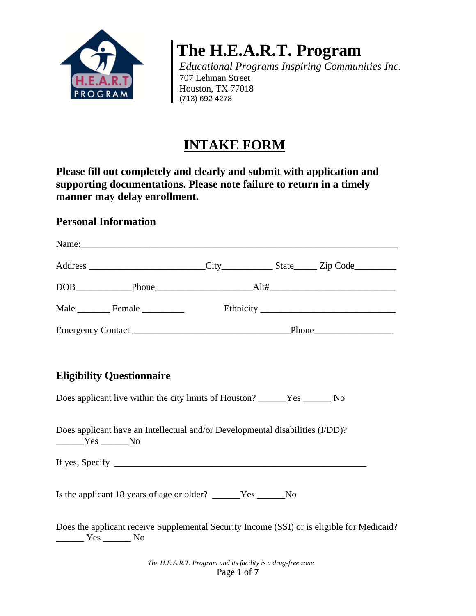

**The H.E.A.R.T. Program**

*Educational Programs Inspiring Communities Inc.* 707 Lehman Street Houston, TX 77018 (713) 692 4278

# **INTAKE FORM**

**Please fill out completely and clearly and submit with application and supporting documentations. Please note failure to return in a timely manner may delay enrollment.** 

### **Personal Information**

| Name:                                                                                                                            |  |  |
|----------------------------------------------------------------------------------------------------------------------------------|--|--|
|                                                                                                                                  |  |  |
|                                                                                                                                  |  |  |
|                                                                                                                                  |  |  |
|                                                                                                                                  |  |  |
|                                                                                                                                  |  |  |
| <b>Eligibility Questionnaire</b>                                                                                                 |  |  |
| Does applicant live within the city limits of Houston? ______Yes ________________ No                                             |  |  |
| Does applicant have an Intellectual and/or Developmental disabilities (I/DD)?<br>$Yes$ No                                        |  |  |
|                                                                                                                                  |  |  |
| Is the applicant 18 years of age or older? ______Yes ______No                                                                    |  |  |
| Does the applicant receive Supplemental Security Income (SSI) or is eligible for Medicaid?<br>$\frac{1}{1}$ Yes $\frac{1}{1}$ No |  |  |

*The H.E.A.R.T. Program and its facility is a drug-free zone* Page **1** of **7**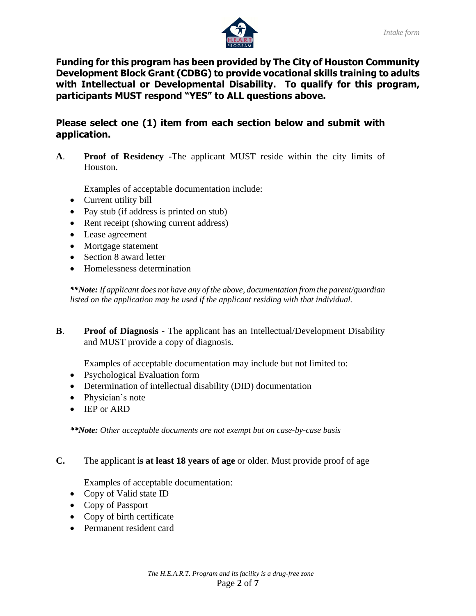

**Funding for this program has been provided by The City of Houston Community Development Block Grant (CDBG) to provide vocational skills training to adults with Intellectual or Developmental Disability. To qualify for this program, participants MUST respond "YES" to ALL questions above.**

#### **Please select one (1) item from each section below and submit with application.**

**A**. **Proof of Residency** -The applicant MUST reside within the city limits of Houston.

Examples of acceptable documentation include:

- Current utility bill
- Pay stub (if address is printed on stub)
- Rent receipt (showing current address)
- Lease agreement
- Mortgage statement
- Section 8 award letter
- Homelessness determination

*\*\*Note: If applicant does not have any of the above, documentation from the parent/guardian listed on the application may be used if the applicant residing with that individual.*

**B**. **Proof of Diagnosis** - The applicant has an Intellectual/Development Disability and MUST provide a copy of diagnosis.

Examples of acceptable documentation may include but not limited to:

- Psychological Evaluation form
- Determination of intellectual disability (DID) documentation
- Physician's note
- IEP or ARD

*\*\*Note: Other acceptable documents are not exempt but on case-by-case basis* 

**C.** The applicant **is at least 18 years of age** or older. Must provide proof of age

Examples of acceptable documentation:

- Copy of Valid state ID
- Copy of Passport
- Copy of birth certificate
- Permanent resident card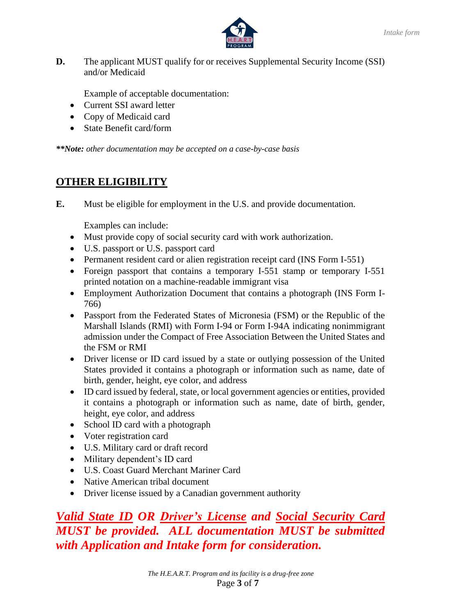



**D.** The applicant MUST qualify for or receives Supplemental Security Income (SSI) and/or Medicaid

Example of acceptable documentation:

- Current SSI award letter
- Copy of Medicaid card
- State Benefit card/form

*\*\*Note: other documentation may be accepted on a case-by-case basis*

## **OTHER ELIGIBILITY**

**E.** Must be eligible for employment in the U.S. and provide documentation.

Examples can include:

- Must provide copy of social security card with work authorization.
- U.S. passport or U.S. passport card
- Permanent resident card or alien registration receipt card (INS Form I-551)
- Foreign passport that contains a temporary I-551 stamp or temporary I-551 printed notation on a machine-readable immigrant visa
- Employment Authorization Document that contains a photograph (INS Form I-766)
- Passport from the Federated States of Micronesia (FSM) or the Republic of the Marshall Islands (RMI) with Form I-94 or Form I-94A indicating nonimmigrant admission under the Compact of Free Association Between the United States and the FSM or RMI
- Driver license or ID card issued by a state or outlying possession of the United States provided it contains a photograph or information such as name, date of birth, gender, height, eye color, and address
- ID card issued by federal, state, or local government agencies or entities, provided it contains a photograph or information such as name, date of birth, gender, height, eye color, and address
- School ID card with a photograph
- Voter registration card
- U.S. Military card or draft record
- Military dependent's ID card
- U.S. Coast Guard Merchant Mariner Card
- Native American tribal document
- Driver license issued by a Canadian government authority

*Valid State ID OR Driver's License and Social Security Card MUST be provided. ALL documentation MUST be submitted with Application and Intake form for consideration.*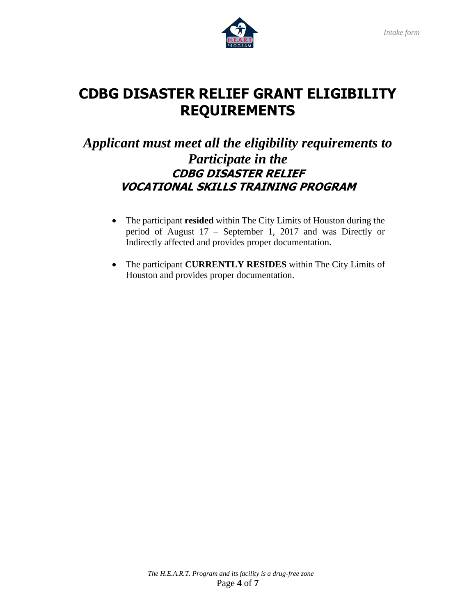

# **CDBG DISASTER RELIEF GRANT ELIGIBILITY REQUIREMENTS**

# *Applicant must meet all the eligibility requirements to Participate in the*  **CDBG DISASTER RELIEF VOCATIONAL SKILLS TRAINING PROGRAM**

- The participant **resided** within The City Limits of Houston during the period of August 17 – September 1, 2017 and was Directly or Indirectly affected and provides proper documentation.
- The participant **CURRENTLY RESIDES** within The City Limits of Houston and provides proper documentation.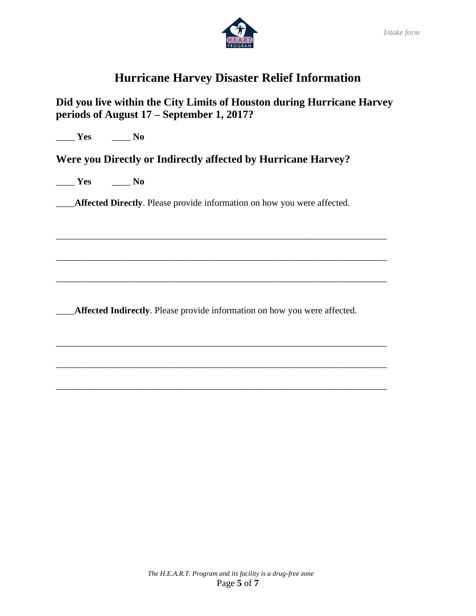

# **Hurricane Harvey Disaster Relief Information**

### **Did you live within the City Limits of Houston during Hurricane Harvey periods of August 17 – September 1, 2017?**

\_\_\_\_ **Yes** \_\_\_\_ **No**

**Were you Directly or Indirectly affected by Hurricane Harvey?** 

\_\_\_\_ **Yes** \_\_\_\_ **No**

\_\_\_\_**Affected Directly**. Please provide information on how you were affected.

\_\_\_\_\_\_\_\_\_\_\_\_\_\_\_\_\_\_\_\_\_\_\_\_\_\_\_\_\_\_\_\_\_\_\_\_\_\_\_\_\_\_\_\_\_\_\_\_\_\_\_\_\_\_\_\_\_\_\_\_\_\_\_\_\_\_\_\_\_\_\_

\_\_\_\_\_\_\_\_\_\_\_\_\_\_\_\_\_\_\_\_\_\_\_\_\_\_\_\_\_\_\_\_\_\_\_\_\_\_\_\_\_\_\_\_\_\_\_\_\_\_\_\_\_\_\_\_\_\_\_\_\_\_\_\_\_\_\_\_\_\_\_

\_\_\_\_\_\_\_\_\_\_\_\_\_\_\_\_\_\_\_\_\_\_\_\_\_\_\_\_\_\_\_\_\_\_\_\_\_\_\_\_\_\_\_\_\_\_\_\_\_\_\_\_\_\_\_\_\_\_\_\_\_\_\_\_\_\_\_\_\_\_\_

\_\_\_\_\_\_\_\_\_\_\_\_\_\_\_\_\_\_\_\_\_\_\_\_\_\_\_\_\_\_\_\_\_\_\_\_\_\_\_\_\_\_\_\_\_\_\_\_\_\_\_\_\_\_\_\_\_\_\_\_\_\_\_\_\_\_\_\_\_\_\_

\_\_\_\_\_\_\_\_\_\_\_\_\_\_\_\_\_\_\_\_\_\_\_\_\_\_\_\_\_\_\_\_\_\_\_\_\_\_\_\_\_\_\_\_\_\_\_\_\_\_\_\_\_\_\_\_\_\_\_\_\_\_\_\_\_\_\_\_\_\_\_

\_\_\_\_\_\_\_\_\_\_\_\_\_\_\_\_\_\_\_\_\_\_\_\_\_\_\_\_\_\_\_\_\_\_\_\_\_\_\_\_\_\_\_\_\_\_\_\_\_\_\_\_\_\_\_\_\_\_\_\_\_\_\_\_\_\_\_\_\_\_\_

\_\_\_\_**Affected Indirectly**. Please provide information on how you were affected.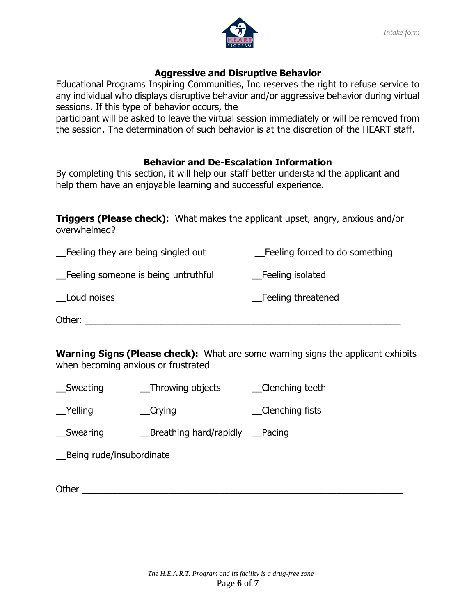

#### **Aggressive and Disruptive Behavior**

Educational Programs Inspiring Communities, Inc reserves the right to refuse service to any individual who displays disruptive behavior and/or aggressive behavior during virtual sessions. If this type of behavior occurs, the

participant will be asked to leave the virtual session immediately or will be removed from the session. The determination of such behavior is at the discretion of the HEART staff.

### **Behavior and De-Escalation Information**

By completing this section, it will help our staff better understand the applicant and help them have an enjoyable learning and successful experience.

**Triggers (Please check):** What makes the applicant upset, angry, anxious and/or overwhelmed?

| _Feeling they are being singled out | Feeling forced to do something |
|-------------------------------------|--------------------------------|
| Feeling someone is being untruthful | Feeling isolated               |
| Loud noises                         | Feeling threatened             |
| Other:                              |                                |

**Warning Signs (Please check):** What are some warning signs the applicant exhibits when becoming anxious or frustrated

| Sweating         | Throwing objects       | _Clenching teeth |
|------------------|------------------------|------------------|
| $\angle$ Yelling | $\sqrt{C}$ rying       | Clenching fists  |
| Swearing         | Breathing hard/rapidly | Pacing           |
|                  |                        |                  |

\_\_Being rude/insubordinate

Other  $\Box$